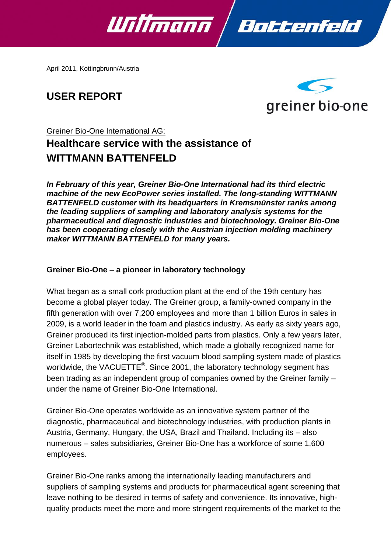

April 2011, Kottingbrunn/Austria

# **USER REPORT**



# Greiner Bio-One International AG: **Healthcare service with the assistance of WITTMANN BATTENFELD**

*In February of this year, Greiner Bio-One International had its third electric machine of the new EcoPower series installed. The long-standing WITTMANN BATTENFELD customer with its headquarters in Kremsmünster ranks among the leading suppliers of sampling and laboratory analysis systems for the pharmaceutical and diagnostic industries and biotechnology. Greiner Bio-One has been cooperating closely with the Austrian injection molding machinery maker WITTMANN BATTENFELD for many years.*

### **Greiner Bio-One – a pioneer in laboratory technology**

What began as a small cork production plant at the end of the 19th century has become a global player today. The Greiner group, a family-owned company in the fifth generation with over 7,200 employees and more than 1 billion Euros in sales in 2009, is a world leader in the foam and plastics industry. As early as sixty years ago, Greiner produced its first injection-molded parts from plastics. Only a few years later, Greiner Labortechnik was established, which made a globally recognized name for itself in 1985 by developing the first vacuum blood sampling system made of plastics worldwide, the VACUETTE $^{\circledast}$ . Since 2001, the laboratory technology segment has been trading as an independent group of companies owned by the Greiner family – under the name of Greiner Bio-One International.

Greiner Bio-One operates worldwide as an innovative system partner of the diagnostic, pharmaceutical and biotechnology industries, with production plants in Austria, Germany, Hungary, the USA, Brazil and Thailand. Including its – also numerous – sales subsidiaries, Greiner Bio-One has a workforce of some 1,600 employees.

Greiner Bio-One ranks among the internationally leading manufacturers and suppliers of sampling systems and products for pharmaceutical agent screening that leave nothing to be desired in terms of safety and convenience. Its innovative, highquality products meet the more and more stringent requirements of the market to the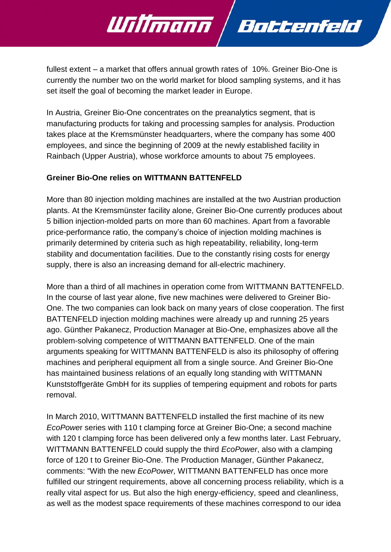fullest extent – a market that offers annual growth rates of 10%. Greiner Bio-One is currently the number two on the world market for blood sampling systems, and it has set itself the goal of becoming the market leader in Europe.

Battenfeld

Willmann

In Austria, Greiner Bio-One concentrates on the preanalytics segment, that is manufacturing products for taking and processing samples for analysis. Production takes place at the Kremsmünster headquarters, where the company has some 400 employees, and since the beginning of 2009 at the newly established facility in Rainbach (Upper Austria), whose workforce amounts to about 75 employees.

## **Greiner Bio-One relies on WITTMANN BATTENFELD**

More than 80 injection molding machines are installed at the two Austrian production plants. At the Kremsmünster facility alone, Greiner Bio-One currently produces about 5 billion injection-molded parts on more than 60 machines. Apart from a favorable price-performance ratio, the company's choice of injection molding machines is primarily determined by criteria such as high repeatability, reliability, long-term stability and documentation facilities. Due to the constantly rising costs for energy supply, there is also an increasing demand for all-electric machinery.

More than a third of all machines in operation come from WITTMANN BATTENFELD. In the course of last year alone, five new machines were delivered to Greiner Bio-One. The two companies can look back on many years of close cooperation. The first BATTENFELD injection molding machines were already up and running 25 years ago. Günther Pakanecz, Production Manager at Bio-One, emphasizes above all the problem-solving competence of WITTMANN BATTENFELD. One of the main arguments speaking for WITTMANN BATTENFELD is also its philosophy of offering machines and peripheral equipment all from a single source. And Greiner Bio-One has maintained business relations of an equally long standing with WITTMANN Kunststoffgeräte GmbH for its supplies of tempering equipment and robots for parts removal.

In March 2010, WITTMANN BATTENFELD installed the first machine of its new *EcoPowe*r series with 110 t clamping force at Greiner Bio-One; a second machine with 120 t clamping force has been delivered only a few months later. Last February, WITTMANN BATTENFELD could supply the third *EcoPower*, also with a clamping force of 120 t to Greiner Bio-One. The Production Manager, Günther Pakanecz, comments: "With the new *EcoPower,* WITTMANN BATTENFELD has once more fulfilled our stringent requirements, above all concerning process reliability, which is a really vital aspect for us. But also the high energy-efficiency, speed and cleanliness, as well as the modest space requirements of these machines correspond to our idea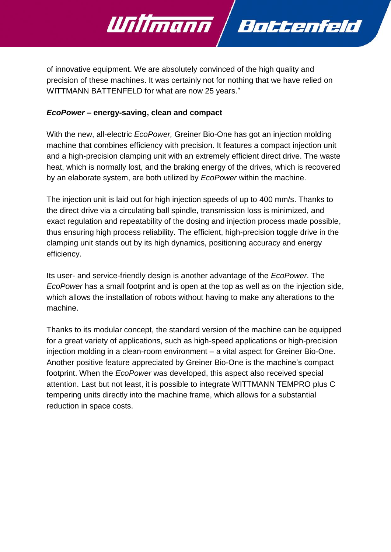

of innovative equipment. We are absolutely convinced of the high quality and precision of these machines. It was certainly not for nothing that we have relied on WITTMANN BATTENFELD for what are now 25 years."

### *EcoPower* **– energy-saving, clean and compact**

With the new, all-electric *EcoPower,* Greiner Bio-One has got an injection molding machine that combines efficiency with precision. It features a compact injection unit and a high-precision clamping unit with an extremely efficient direct drive. The waste heat, which is normally lost, and the braking energy of the drives, which is recovered by an elaborate system, are both utilized by *EcoPower* within the machine.

The injection unit is laid out for high injection speeds of up to 400 mm/s. Thanks to the direct drive via a circulating ball spindle, transmission loss is minimized, and exact regulation and repeatability of the dosing and injection process made possible, thus ensuring high process reliability. The efficient, high-precision toggle drive in the clamping unit stands out by its high dynamics, positioning accuracy and energy efficiency.

Its user- and service-friendly design is another advantage of the *EcoPower*. The *EcoPower* has a small footprint and is open at the top as well as on the injection side, which allows the installation of robots without having to make any alterations to the machine.

Thanks to its modular concept, the standard version of the machine can be equipped for a great variety of applications, such as high-speed applications or high-precision injection molding in a clean-room environment – a vital aspect for Greiner Bio-One. Another positive feature appreciated by Greiner Bio-One is the machine's compact footprint. When the *EcoPower* was developed, this aspect also received special attention. Last but not least, it is possible to integrate WITTMANN TEMPRO plus C tempering units directly into the machine frame, which allows for a substantial reduction in space costs.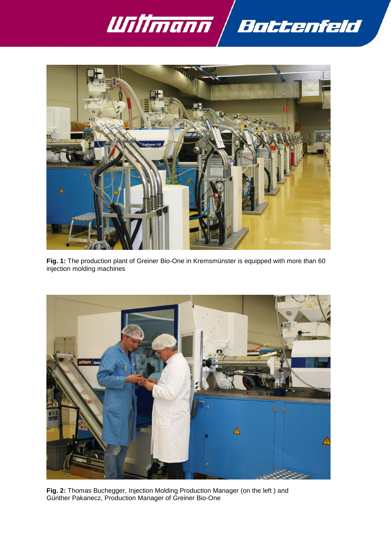



**Fig. 1:** The production plant of Greiner Bio-One in Kremsmünster is equipped with more than 60 injection molding machines



**Fig. 2:** Thomas Buchegger, Injection Molding Production Manager (on the left ) and Günther Pakanecz, Production Manager of Greiner Bio-One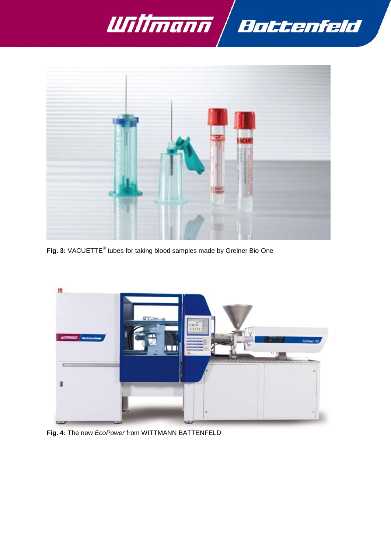



Fig. 3: VACUETTE<sup>®</sup> tubes for taking blood samples made by Greiner Bio-One



**Fig. 4:** The new *EcoPower* from WITTMANN BATTENFELD